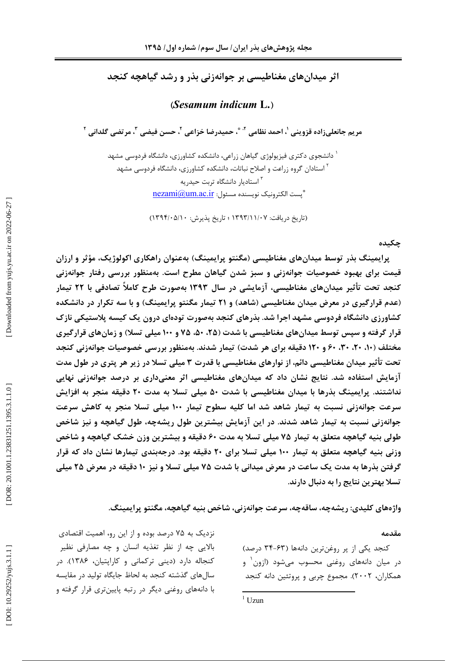اثر میدانهای مغناطیسی بر جوانهزنی بذر و رشد گیاهچه کنجد

 $(Sesamum induction L.)$ 

مريم جانعلي;اده قزويني '، احمد نظامي '' \*، حميدرضا خزاعي '، حسن فيضي ''، مرتضي گلداني '

ٔ دانشجوی دکتری فیزیولوژی گیاهان زراعی، دانشکده کشاورزی، دانشگاه فردوسی مشهد <sup>۲</sup> استادان گروه زراعت و اصلاح نباتات، دانشکده کشاورزی، دانشگاه فردوسی مشهد <sup>۳</sup> استادیار دانشگاه تربت حیدریه " بست الكترونيك نويسنده مسئول: nezami@um.ac.ir

(تاریخ دریافت: ۱۳۹۳/۱۱/۰۷ ؛ تاریخ پذیرش: ۱۳۹۴/۰۵/۱۰)

چکىدە

پرایمینگ بذر توسط میدانهای مغناطیسی (مگنتو پرایمینگ) بهعنوان راهکاری اکولوژیک، مؤثر و ارزان قیمت برای بهبود خصوصیات جوانهزنی و سبز شدن گیاهان مطرح است. بهمنظور بررسی رفتار جوانهزنی کنجد تحت تأثیر میدانهای مغناطیسی، آزمایشی در سال ۱۳۹۳ بهصورت طرح کاملاً تصادفی با ۲۲ تیمار (عدم قرارگیری در معرض میدان مغناطیسی (شاهد) و ۲۱ تیمار مگنتو پرایمینگ) و با سه تکرار در دانشکده کشاورزی دانشگاه فردوسی مشهد اجرا شد. بذرهای کنجد بهصورت تودهای درون یک کیسه پلاستیکی نازک قرار گرفته و سپس توسط میدانهای مغناطیسی با شدت (۲۵، ۵۰، ۷۵ و ۱۰۰ میلی تسلا) و زمانهای قرارگیری مختلف (۱۰، ۲۰، ۳۰، ۶۰ و ۱۲۰ دقیقه برای هر شدت) تیمار شدند. بهمنظور بررسی خصوصیات جوانهزنی کنجد تحت تأثیر میدان مغناطیسی دائم، از نوارهای مغناطیسی با قدرت ۳ میلی تسلا در زیر هر پتری در طول مدت آزمایش استفاده شد. نتایج نشان داد که میدانهای مغناطیسی اثر معنیداری بر درصد جوانهزنی نهایی نداشتند. پرایمینگ بذرها با میدان مغناطیسی با شدت ۵۰ میلی تسلا به مدت ۲۰ دقیقه منجر به افزایش سرعت جوانهزنی نسبت به تیمار شاهد شد اما کلیه سطوح تیمار ۱۰۰ میلی تسلا منجر به کاهش سرعت جوانهزنی نسبت به تیمار شاهد شدند. در این آزمایش بیشترین طول ریشهچه، طول گیاهچه و نیز شاخص طولي بنيه گياهچه متعلق به تيمار ۷۵ ميلي تسلا به مدت ۶۰ دقيقه و بيشترين وزن خشک گياهچه و شاخص وزنی بنیه گیاهچه متعلق به تیمار ۱۰۰ میلی تسلا برای ۲۰ دقیقه بود. درجهبندی تیمارها نشان داد که قرار گرفتن بذرها به مدت یک ساعت در معرض میدانی با شدت ۷۵ میلی تسلا و نیز ۱۰ دقیقه در معرض ۲۵ میلی تسلا بهترین نتایج را به دنبال دارند.

واژەهاي كليدي: ريشەچە، ساقەچە، سرعت جوانەزنى، شاخص بنيه گياهچە، مگنتو پرايمينگ.

#### مقدمه

کنجد یکی از پر روغنترین دانهها (۶۳-۳۴ درصد) در میان دانههای روغنی محسوب میشود (ازون و همکاران، ۲۰۰۲). مجموع چربی و پروتئین دانه کنجد

نزدیک به ۷۵ درصد بوده و از این رو، اهمیت اقتصادی بالایی چه از نظر تغذیه انسان و چه مصارفی نظیر کنجاله دارد (دینی ترکمانی و کاراپتیان، ۱۳۸۶). در سالهای گذشته کنجد به لحاظ جایگاه تولید در مقایسه با دانههای روغنی دیگر در رتبه پایینتری قرار گرفته و

 $1$  Uzun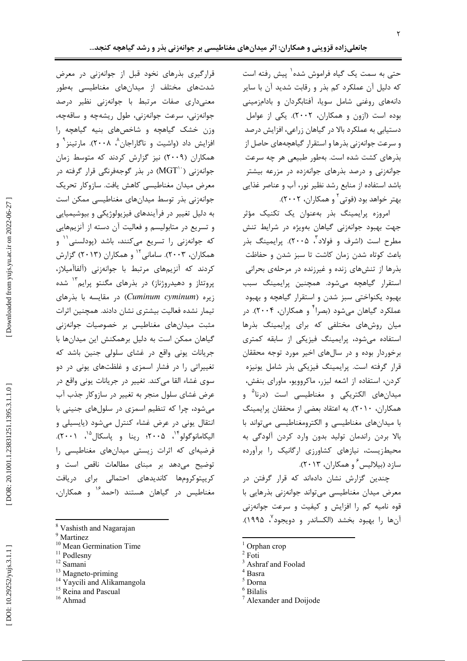حتی به سمت یک گیاه فراموش شده` پیش رفته است که دلیل آن عملکرد کم بذر و رقابت شدید آن با سایر دانههای روغنی شامل سویا، آفتابگردان و بادامزمینی بوده است (ازون و همکاران، ٢٠٠٢). یکی از عوامل دستیابی به عملکرد بالا در گیاهان زراعی، افزایش درصد و سرعت جوانهزنی بذرها و استقرار گیاهچههای حاصل از بذرهای کشت شده است. بهطور طبیعی هر چه سرعت جوانهزنی و درصد بذرهای جوانهزده در مزرعه بیشتر باشد استفاده از منابع رشد نظیر نور، آب و عناصر غذایی بهتر خواهد بود (فوتي<sup>۲</sup> و همكاران، ۲۰۰۲).

امروزه یرایمینگ بذر بهعنوان یک تکنیک مؤثر جهت بهبود جوانهزنی گیاهان بهویژه در شرایط تنش مطرح است (اشرف و فولاد<sup>"</sup>، ۲۰۰۵). پرایمینگ بذر باعث کوتاه شدن زمان کاشت تا سبز شدن و حفاظت بذرها از تنشهای زنده و غیرزنده در مرحلهی بحرانی استقرار گیاهچه میشود. همچنین پرایمینگ سبب بهبود یکنواختی سبز شدن و استقرار گیاهچه و بهبود عملکرد گیاهان میشود (بصرا<sup>۲</sup> و همکاران، ۲۰۰۴). در میان روشهای مختلفی که برای پرایمینگ بذرها استفاده می شود، پرایمینگ فیزیکی از سابقه کمتری برخوردار بوده و در سالهای اخیر مورد توجه محققان قرار گرفته است. پرایمینگ فیزیکی بذر شامل یونیزه كردن، استفاده از اشعه ليزر، ماكروويو، ماوراي بنفش، میدانهای الکتریکی و مغناطیسی است (درنا<sup>۵</sup> و همکاران، ۲۰۱۰). به اعتقاد بعضی از محققان پرایمینگ با میدانهای مغناطیسی و الکترومغناطیسی میتواند با بالا بردن راندمان توليد بدون وارد كردن آلودگي به محیطزیست، نیازهای کشاورزی ارگانیک را برآورده سازد (بیلالیس ٔ و همکاران، ۲۰۱۳).

چندین گزارش نشان دادهاند که قرار گرفتن در معرض میدان مغناطیسی میتواند جوانهزنی بذرهایی با قوه نامیه کم را افزایش و کیفیت و سرعت جوانهزنی آنها را بهبود بخشد (الكساندر و دويجود<sup>٧</sup>، ١٩٩۵).

- $\frac{1}{2}$  Orphan crop
- $^{\rm 2}$  Foti
- <sup>3</sup> Ashraf and Foolad
- $4$  Basra
- <sup>5</sup> Dorna
- $6$  Bilalis
- Alexander and Doijode

قرارگیری بذرهای نخود قبل از جوانهزنی در معرض شدتهای مختلف از میدانهای مغناطیسی بهطور معنیداری صفات مرتبط با جوانهزنی نظیر درصد جوانهزنی، سرعت جوانهزنی، طول ریشهچه و ساقهچه، وزن خشک گیاهچه و شاخصهای بنیه گیاهچه را افزایش داد (واشیت و ناگاراجان^، ۲۰۰۸). مارتینز <sup>۹</sup> و همکاران (۲۰۰۹) نیز گزارش کردند که متوسط زمان جوانەزنى (MGT``) در بذر گوجەفرنگى قرار گرفته در معرض میدان مغناطیسی کاهش یافت. سازوکار تحریک جوانه;نی بذر توسط میدانهای مغناطیسی ممکن است به دلیل تغییر در فرآیندهای فیزیولوژیکی و بیوشیمیایی و تسریع در متابولیسم و فعالیت آن دسته از آنزیمهایی که جوانهزنی را تسریع میکنند، باشد (پودلسنی<sup>۱۱</sup> و همکاران، ۲۰۰۳). سامانی ۱٬ و همکاران (۲۰۱۳) گزارش كردند كه آنزيمهاى مرتبط با جوانهزنى (آلفاآميلاز، پروتئاز و دهیدروژناز) در بذرهای مگنتو پرایم<sup>۱۳</sup> شده زیره (Cuminum cyminum) در مقایسه با بذرهای تیمار نشده فعالیت بیشتری نشان دادند. همچنین اثرات مثبت میدانهای مغناطیس بر خصوصیات جوانهزنی گیاهان ممکن است به دلیل برهمکنش این میدانها با جریانات یونی واقع در غشای سلولی جنین باشد که تغییراتی را در فشار اسمزی و غلظتهای یونی در دو سوی غشاء القا می کند. تغییر در جریانات یونی واقع در عرض غشای سلول منجر به تغییر در سازوکار جذب آب میشود، چرا که تنظیم اسمزی در سلولهای جنینی با انتقال یونی در عرض غشاء کنترل میشود (پایسیلی و اليكامانوگولو<sup>٢٠</sup>، ٢٠٠۵؛ رينا و پاسكال<sup>۱۵</sup>، ٢٠٠١). فرضیهای که اثرات زیستی میدانهای مغناطیسی را توضیح میدهد بر مبنای مطالعات ناقص است و کریپتوکرومها کاندیدهای احتمالی برای دریافت مغناطیس در گیاهان هستند (احمد<sup>۱۶</sup> و همکاران،

- <sup>8</sup> Vashisth and Nagarajan
- <sup>9</sup> Martinez
- <sup>10</sup> Mean Germination Time
- <sup>11</sup> Podlesny
- $12$  Samani
- <sup>13</sup> Magneto-priming
- <sup>14</sup> Yaycili and Alikamangola
- <sup>15</sup> Reina and Pascual
- $16$  Ahmad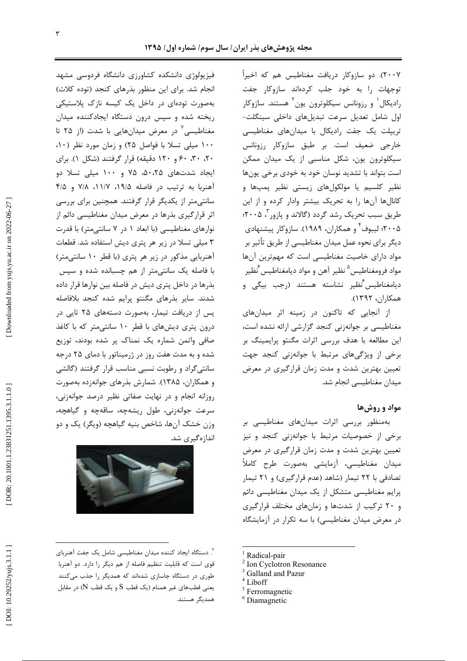۲۰۰۷). دو سازوکار دریافت مغناطیس هم که اخیراً توجهات را به خود جلب کردهاند سازوکار جفت رادیکال` و رزونانس سیکلوترون یون` هستند. سازوکار اول شامل تعدیل سرعت تبدیلهای داخلی سینگلت-تریپلت یک جفت رادیکال با میدانهای مغناطیسی خارجي ضعيف است. بر طبق سازوكار رزونانس سیکلوترون یون، شکل مناسبی از یک میدان ممکن است بتواند با تشدید نوسان خود به خودی برخی یونها نظیر کلسیم یا مولکولهای زیستی نظیر پمپها و کانالها آنها را به تحریک بیشتر وادار کرده و از این طریق سبب تحریک رشد گردد (گالاند و پازور آ، ۲۰۰۵؛ ۲۰۰۵؛ لیبوف ٔ و همکاران، ۱۹۸۹). سازوکار پیشنهادی دیگر برای نحوه عمل میدان مغناطیسی از طریق تأثیر بر مواد دارای خاصیت مغناطیسی است که مهمترین آنها مواد فرومغناطيس<sup>۵</sup> نظير آهن و مواد ديامغناطيس َُنظير ديامغناطيس *نُ*ظير نشاسته هستند (رجب بيگي و همكاران، ١٣٩٢).

از آنجایی که تاکنون در زمینه اثر میدانهای مغناطیسی بر جوانهزنی کنجد گزارشی ارائه نشده است، این مطالعه با هدف بررسی اثرات مگنتو پرایمینگ بر برخی از ویژگیهای مرتبط با جوانهزنی کنجد جهت تعیین بهترین شدت و مدت زمان قرارگیری در معرض میدان مغناطیسی انجام شد.

## مواد و روش ها

بهمنظور بررسی اثرات میدانهای مغناطیسی بر برخی از خصوصیات مرتبط با جوانهزنی کنجد و نیز تعیین بهترین شدت و مدت زمان قرارگیری در معرض میدان مغناطیسی، آزمایشی بهصورت طرح کاملاً تصادفی با ۲۲ تیمار (شاهد (عدم قرارگیری) و ۲۱ تیمار پرایم مغناطیسی متشکل از یک میدان مغناطیسی دائم و ۲۰ ترکیب از شدتها و زمانهای مختلف قرارگیری در معرض میدان مغناطیسی) با سه تکرار در آزمایشگاه

- <sup>1</sup> Radical-pair
- <sup>2</sup> Ion Cyclotron Resonance
- <sup>3</sup> Galland and Pazur
- $4$  Liboff
- $5$  Ferromagnetic
- <sup>6</sup> Diamagnetic

فیزیولوژی دانشکده کشاورزی دانشگاه فردوسی مشهد انجام شد. برای این منظور بذرهای کنجد (توده کلات) بهصورت تودهای در داخل یک کیسه نازک پلاستیکی ریخته شده و سپس درون دستگاه ایجادکننده میدان مغناطیسی<sup>٬</sup> در معرض میدانهایی با شدت (از ۲۵ تا ۱۰۰ میلی تسلا با فواصل ۲۵) و زمان مورد نظر (۱۰، ۲۰، ۳۰، ۶۰ و ۱۲۰ دقیقه) قرار گرفتند (شکل ۱). برای ایجاد شدتهای ۵۰،۲۵، ۷۵ و ۱۰۰ میلی تسلا دو آهنربا به ترتیب در فاصله ۱۹/۵، ۱۱/۷، ۲/۵ و ۴/۵ سانتیمتر از یکدیگر قرار گرفتند. همچنین برای بررسی اثر قرارگیری بذرها در معرض میدان مغناطیسی دائم از نوارهای مغناطیسی (با ابعاد ١ در ٧ سانتی متر) با قدرت ۳ میلی تسلا در زیر هر پتری دیش استفاده شد. قطعات آهنربایی مذکور در زیر هر پتری (با قطر ۱۰ سانتی متر) با فاصله یک سانتے،متر از هم چسبانده شده و سیس بذرها در داخل پتری دیش در فاصله بین نوارها قرار داده شدند. سایر بذرهای مگنتو پرایم شده کنجد بلافاصله پس از دریافت تیمار، بهصورت دستههای ۲۵ تایی در درون پتری دیشهای با قطر ۱۰ سانتی متر که با کاغذ صافی واتمن شماره یک نمناک پر شده بودند، توزیع شده و به مدت هفت روز در ژرمیناتور با دمای ۲۵ درجه سانتی گراد و رطوبت نسبی مناسب قرار گرفتند (گالشی و همکاران، ۱۳۸۵). شمارش بذرهای جوانهزده بهصورت روزانه انجام و در نهایت صفاتی نظیر درصد جوانهزنی، سرعت جوانهزني، طول ريشهچه، ساقهچه و گياهچه، وزن خشک آنها، شاخص بنیه گیاهچه (ویگر) یک و دو اندازهگیری شد.



<sup>&</sup>lt;sup>۷</sup>. دستگاه ایجاد کننده میدان مغناطیسی شامل یک جفت آهنربای قوی است که قابلیت تنظیم فاصله از هم دیگر را دارد. دو آهنربا طوری در دستگاه جاسازی شدهاند که همدیگر را جذب میکنند یعنی قطبهای غیر همنام (یک قطب S و یک قطب N) در مقابل همدیگر هستند.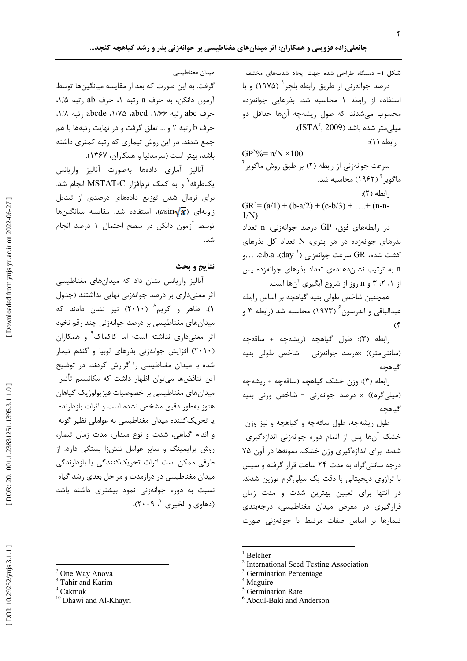$1/N$ 

شكل 1- دستگاه طراحى شده جهت ايجاد شدتهاى مختلف درصد جوانهزنی از طریق رابطه بلچر ( ۱۹۷۵) و با استفاده از رابطه ۱ محاسبه شد. بذرهایی جوانهزده محسوب می شدند که طول ریشهچه آنها حداقل دو  $\Lambda$ میلے متر شدہ باشد (ISTA<sup>۲</sup>, 2009). , ابطه (١):

 $GP^{3}\% = n/N \times 100$ سرعت جوانهزنی از رابطه (۲) بر طبق روش ماگویر ٰ ماگویر <sup>۴</sup> (۱۹۶۲) محاسبه شد.  $\langle \Upsilon \rangle$  ابطه $\langle \Upsilon \rangle$  $GR^{5}=(a/1)+(b-a/2)+(c-b/3)+...+(n-n-$ 

 $\alpha$  در رابطههای فوق،  $\Omega$  درصد جوانهزنی، n تعداد بذرهای جوانهزده در هر پتری، N تعداد کل بذرهای 0R مسرعت جوانهزنی (s... ، $\text{c.b.a}$  ،... . ... کشت شده،  $\text{GR}$  سرعت جوانهزنی  $\text{c.b.a}$ n به ترتیب نشاندهندهی تعداد بذرهای جوانهزده پس از ۰۱ ،۲ ،۳ و n روز از شروع آبگیری آنها است.

همچنین شاخص طولی بنیه گیاهچه بر اساس رابطه عبدالباقی و اندرسون ً (۱۹۷۳) محاسبه شد (رابطه ۳ و  $\cdot$ (۴

رابطه (٣): طول گیاهچه (ریشهچه + ساقهچه (سانتی متر)) ×درصد جوانهزنی = شاخص طولی بنیه گىاھحە

رابطه (۴): وزن خشک گیاهچه (ساقهچه + ریشهچه (میلی گرم)) × درصد جوانهزنی = شاخص وزنی بنیه گیاهچه

طول ریشهچه، طول ساقهچه و گیاهچه و نیز وزن خشک آنها پس از اتمام دوره جوانهزنی اندازهگیری شدند. برای اندازهگیری وزن خشک، نمونهها در آون ۷۵ درجه سانتیگراد به مدت ۲۴ ساعت قرار گرفته و سپس با ترازوی دیجیتالی با دقت یک میلی گرم توزین شدند. در انتها برای تعیین بهترین شدت و مدت زمان قرارگیری در معرض میدان مغناطیسی، درجهبندی تیمارها بر اساس صفات مرتبط با جوانهزنی صورت

 $1$  Belcher

<sup>6</sup> Abdul-Baki and Anderson

میدان مغناطیسی

گرفت. به این صورت که بعد از مقایسه میانگینها توسط آزمون دانكن، به حرف a ,تبه ۱، حرف ab ,تبه ۱/۵. حرف abcd , تبه ۱/۶۶، abcde، ۱/۷۵، abcd) , تبه ۱/۸، حرف b رتبه ٢ و ... تعلق گرفت و در نهايت رتبهها با هم جمع شدند. در این روش تیماری که رتبه کمتری داشته باشد، بهتر است (سرمدنیا و همکاران، ۱۳۶۷).

آناليز آماري دادهها بهصورت آناليز واريانس یکطرفه<sup>۷</sup> و به کمک نرمافزار MSTAT-C انجام شد. برای نرمال شدن توزیع دادههای درصدی از تبدیل زاویهای ( $\sqrt{\bm{x}}$ asin)، استفاده شد. مقایسه میانگینها توسط آزمون دانكن در سطح احتمال ١ درصد انجام شد.

### نتايج و بحث

آنالیز واریانس نشان داد که میدانهای مغناطیسی اثر معنیداری بر درصد جوانهزنی نهایی نداشتند (جدول ۱). طاهر و کریم<sup>۸</sup> (۲۰۱۰) نیز نشان دادند که میدانهای مغناطیسی بر درصد جوانهزنی چند رقم نخود اثر معنىدارى نداشته است؛ اما كاكماك<sup>۹</sup> و همكاران (۲۰۱۰) افزایش جوانهزنی بذرهای لوبیا و گندم تیمار شده با میدان مغناطیسی را گزارش کردند. در توضیح این تناقضها میتوان اظهار داشت که مکانیسم تأثیر میدانهای مغناطیسی بر خصوصیات فیزیولوژیک گیاهان هنوز بهطور دقیق مشخص نشده است و اثرات بازدارنده یا تحریک کننده میدان مغناطیسی به عواملی نظیر گونه و اندام گیاهی، شدت و نوع میدان، مدت زمان تیمار، روش پرایمینگ و سایر عوامل تنشiا بستگی دارد. از طرفی ممکن است اثرات تحریککنندگی یا بازدارندگی میدان مغناطیسی در درازمدت و مراحل بعدی رشد گیاه نسبت به دوره جوانهزنی نمود بیشتری داشته باشد (دهاوي و الخيري ``، ٢٠٠٩).

<sup>&</sup>lt;sup>2</sup> International Seed Testing Association

<sup>&</sup>lt;sup>3</sup> Germination Percentage

 $4$  Maguire

<sup>&</sup>lt;sup>5</sup> Germination Rate

<sup>&</sup>lt;sup>7</sup> One Way Anova

<sup>&</sup>lt;sup>8</sup> Tahir and Karim

 $9$  Cakmak

<sup>&</sup>lt;sup>10</sup> Dhawi and Al-Khayri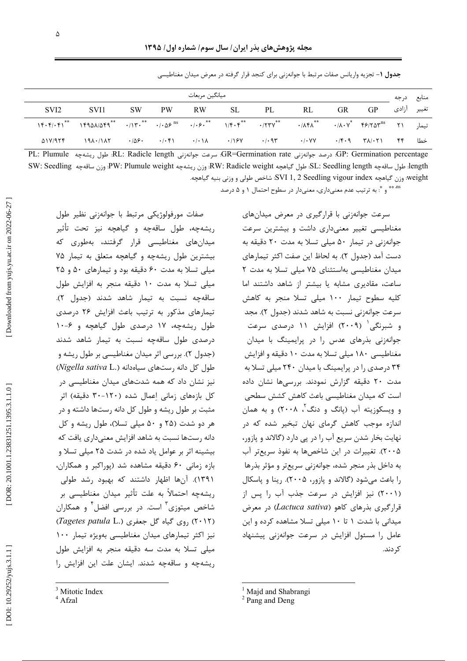$\Delta$ 

|  |  | <b>جدول ۱</b> – تجزیه واریانس صفات مرتبط با جوانهزنی برای کنجد قرار گرفته در معرض میدان مغناطیسی |  |
|--|--|--------------------------------------------------------------------------------------------------|--|
|--|--|--------------------------------------------------------------------------------------------------|--|

| ميانگين مربعات |                  |                                                                                            |  |  |  |  |                   |  |  | د, حه | منابع       |  |
|----------------|------------------|--------------------------------------------------------------------------------------------|--|--|--|--|-------------------|--|--|-------|-------------|--|
|                | SVI <sub>2</sub> | SVI1                                                                                       |  |  |  |  | SW PW RW SL PL RL |  |  | GR GP | تغيير أزادي |  |
|                |                  | تيمار ١٢٩٥٨/٥٣٩* ١٣٩٨٨/٥٣٩* ١/٢٠٣* ١/٢٠٣* ١/٢٠٣* ١/٢٠٣* ١٣٠٨٠٠٠ ١٣٠* ١٣٩٥٨/٥٣٩* ١٣٩٥٨/٥٢٩* |  |  |  |  |                   |  |  |       |             |  |
|                |                  | خطا ۴۴ ا۲۸/۰۲۱ ۲۹ ۱۳ ۰/۰۷۲ ۰/۰۹۳ ۰/۰۷۷ ۰/۰۹۳ ۰/۰۷۷ ۰/۹۴۰ ۱۹۸۰/۱۸۲ ۵۱۷/۹۲۴                  |  |  |  |  |                   |  |  |       |             |  |

GP: Germination percentage؛ درصد جوانهزنی GR=Germination rate؛ سرعت جوانهزنی RL: Radicle length؛ طول ریشهچه - PL: Plumule length: طول ساقەچە SL: Seedling length؛ طول گياهچە RW: Radicle weight؛ وزن ريشەچە PW: Plumule weight؛ وزن ساقەچە SW: Seedling؛ weight. وزن گیاهچه SVI 1, 2 Seedling vigour index شاخص طولی و وزنی بنیه گیاهچه.

ns \*\* و \*: به ترتیب عدم معنیداری، معنیدار در سطوح احتمال ۱ و ۵ درصد

صفات مورفولوژیکی مرتبط با جوانهزنی نظیر طول ریشهچه، طول ساقهچه و گیاهچه نیز تحت تأثیر میدانهای مغناطیسی قرار گرفتند، بهطوری که بیشترین طول ریشهچه و گیاهچه متعلق به تیمار ۷۵ میلی تسلا به مدت ۶۰ دقیقه بود و تیمارهای ۵۰ و ۲۵ میلی تسلا به مدت ۱۰ دقیقه منجر به افزایش طول ساقهچه نسبت به تیمار شاهد شدند (جدول ٢). تیمارهای مذکور به ترتیب باعث افزایش ۲۶ درصدی طول ریشهچه، ۱۷ درصدی طول گیاهچه و ۶-۱۰ درصدی طول ساقهچه نسبت به تیمار شاهد شدند (جدول ۲). بررسی اثر میدان مغناطیسی بر طول ریشه و (Nigella sativa L.) سیاهدانه (Nigella sativa L.) نیز نشان داد که همه شدتهای میدان مغناطیسی در کل بازههای زمانی اِعمال شده (۱۲۰-۳۰ دقیقه) اثر مثبت بر طول ریشه و طول کل دانه رستها داشته و در هر دو شدت (۲۵ و ۵۰ میلی تسلا)، طول ریشه و کل دانه , ستها نسبت به شاهد افزایش معنی داری یافت که بیشینه اثر بر عوامل یاد شده در شدت ۲۵ میلی تسلا و بازه زمانی ۶۰ دقیقه مشاهده شد (پوراکبر و همکاران، ۱۳۹۱). آنها اظها<sub>ر</sub> داشتند که بهبود رشد طول*ی* ريشەچە احتمالاً بە علت تأثير ميدان مغناطيسى بر شاخص میتوزی<sup>۳</sup> است. در بررسی افضل<sup>۴</sup> و همکاران (٢٠١٢) روى گياه گل جعفرى (Tagetes patula L.) نیز اکثر تیمارهای میدان مغناطیسی بهویژه تیمار ۱۰۰ میلی تسلا به مدت سه دقیقه منجر به افزایش طول ریشهچه و ساقهچه شدند. ایشان علت این افزایش را

سرعت جوانهزنی با قرارگیری در معرض میدانهای مغناطیسی تغییر معنیداری داشت و بیشترین سرعت جوانهزنی در تیمار ۵۰ میلی تسلا به مدت ۲۰ دقیقه به دست آمد (جدول ٢). به لحاظ این صفت اکثر تیمارهای میدان مغناطیسی بهاستثنای ۷۵ میلی تسلا به مدت ۲ ساعت، مقادیری مشابه یا بیشتر از شاهد داشتند اما کلیه سطوح تیمار ۱۰۰ میلی تسلا منجر به کاهش سرعت جوانهزني نسبت به شاهد شدند (جدول ٢). مجد و شبرنگی  $(5\cdot\cdot\,9)$  افزایش ۱۱ درصدی سرعت جوانهزنی بذرهای عدس را در پرایمینگ با میدان مغناطیسی ۱۸۰ میلی تسلا به مدت ۱۰ دقیقه و افزایش ۳۴ درصدی را در پرایمینگ با میدان ۲۴۰ میلی تسلا به مدت ٢٠ دقيقه گزارش نمودند. بررسي ها نشان داده است که میدان مغناطیسی باعث کاهش کشش سطحی و ویسکوزیته آب (یانگ و دنگ<sup>۲</sup>، ۲۰۰۸) و به همان اندازه موجب کاهش گرمای نهان تبخیر شده که در نهایت بخار شدن سریع آب را در پی دارد (گالاند و پازور، ۲۰۰۵). تغییرات در این شاخصها به نفوذ سریعتر آب به داخل بذر منجر شده، جوانهزنی سریعتر و مؤثر بذرها را باعث میشود (گالاند و پازور، ۲۰۰۵). رینا و پاسکال (۲۰۰۱) نیز افزایش در سرعت جذب آب را پس از قرارگیری بذرهای کاهو (Lactuca sativa) در معرض میدانی با شدت ۱ تا ۱۰ میلی تسلا مشاهده کرده و این عامل را مسئول افزایش در سرعت جوانهزنی پیشنهاد کړ دند.

<sup>&</sup>lt;sup>3</sup> Mitotic Index

 $4$  Afzal

<sup>&</sup>lt;sup>1</sup> Majd and Shabrangi

<sup>&</sup>lt;sup>2</sup> Pang and Deng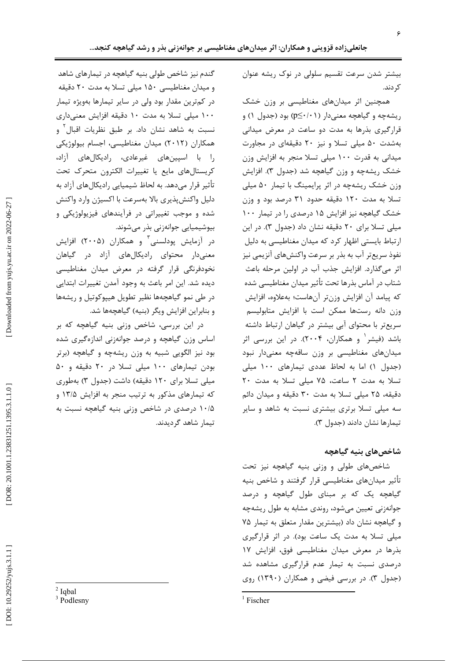بیشتر شدن سرعت تقسیم سلولی در نوک ریشه عنوان کر دند.

همچنین اثر میدانهای مغناطیسی بر وزن خشک ریشهچه و گیاهچه معنیدار (p≤۰/۰۱) بود (جدول ۱) و قرارگیری بذرها به مدت دو ساعت در معرض میدانی بهشدت ۵۰ میلی تسلا و نیز ۲۰ دقیقهای در مجاورت میدانی به قدرت ۱۰۰ میلی تسلا منجر به افزایش وزن خشک ریشهچه و وزن گیاهچه شد (جدول ۳). افزایش وزن خشک ریشهچه در اثر پرایمینگ با تیمار ۵۰ میلی تسلا به مدت ۱۲۰ دقیقه حدود ۳۱ درصد بود و وزن خشک گیاهچه نیز افزایش ۱۵ درصدی را در تیمار ۱۰۰ میلی تسلا برای ۲۰ دقیقه نشان داد (جدول ۳). در این ارتباط بایستی اظهار کرد که میدان مغناطیسی به دلیل نفوذ سریعتر آب به بذر بر سرعت واکنشهای آنزیمی نیز اثر میگذارد. افزایش جذب آب در اولین مرحله باعث شتاب در آماس بذرها تحت تأثير ميدان مغناطيسي شده كه ييامد آن افزايش وزنتر آنهاست؛ بهعلاوه، افزايش وزن دانه رستها ممكن است با افزايش متابوليسم سریعتر با محتوای آبی بیشتر در گیاهان ارتباط داشته باشد (فیشر و همکاران، ۲۰۰۴). در این بررسی اثر میدانهای مغناطیسی بر وزن ساقهچه معنیدار نبود (جدول ١) اما به لحاظ عددی تیمارهای ١٠٠ میلی تسلا به مدت ٢ ساعت، ٧۵ ميلي تسلا به مدت ٢٠ دقیقه، ۲۵ میلی تسلا به مدت ۳۰ دقیقه و میدان دائم سه میلی تسلا برتری بیشتری نسبت به شاهد و سایر تیمارها نشان دادند (جدول ۳).

### شاخصهاي بنيه گياهچه

شاخصهای طولی و وزنی بنیه گیاهچه نیز تحت تأثیر میدانهای مغناطیسی قرار گرفتند و شاخص بنیه گیاهچه یک که بر مبنای طول گیاهچه و درصد جوانهزنی تعیین می شود، روندی مشابه به طول ریشهچه و گیاهچه نشان داد (بیشترین مقدار متعلق به تیمار ۷۵ میلی تسلا به مدت یک ساعت بود). در اثر قرارگیری بذرها در معرض ميدان مغناطيسي فوق، افزايش ١٧ درصدی نسبت به تیمار عدم قرارگیری مشاهده شد (جدول ۳). در بررسی فیضی و همکاران (۱۳۹۰) روی

گندم نیز شاخص طولی بنیه گیاهچه در تیمارهای شاهد و میدان مغناطیسی ۱۵۰ میلی تسلا به مدت ۲۰ دقیقه در کمترین مقدار بود ولی در سایر تیمارها بهویژه تیمار ۱۰۰ میلی تسلا به مدت ۱۰ دقیقه افزایش معنیداری نسبت به شاهد نشان داد. بر طبق نظریات اقبال<sup>۲</sup> و همکاران (۲۰۱۲) میدان مغناطیسی، اجسام بیولوژیکی را با اسپینهای غیرعادی، رادیکالهای آزاد، كريستالهاي مايع يا تغييرات الكترون متحرك تحت تأثیر قرار میدهد. به لحاظ شیمیایی رادیکالهای آزاد به دلیل واکنش پذیری بالا بهسرعت با اکسیژن وارد واکنش شده و موجب تغییراتی در فرآیندهای فیزیولوژیکی و بیوشیمیایی جوانهزنی بذر میشوند.

در آزمایش پودلسنی ٔ و همکاران (۲۰۰۵) افزایش معنیدار محتوای رادیکالهای آزاد در گیاهان نخودفرنگی قرار گرفته در معرض میدان مغناطیسی ديده شد. اين امر باعث به وجود آمدن تغييرات ابتدايي در طی نمو گیاهچهها نظیر تطویل هییوکوتیل و ریشهها و بنابراین افزایش ویگر (بنیه) گیاهچهها شد.

در این بررسی، شاخص وزنی بنیه گیاهچه که بر اساس وزن گیاهچه و درصد جوانهزنی اندازهگیری شده بود نیز الگویی شبیه به وزن ریشهچه و گیاهچه (برتر بودن تیمارهای ۱۰۰ میلی تسلا در ۲۰ دقیقه و ۵۰ میلی تسلا برای ۱۲۰ دقیقه) داشت (جدول ۳) بهطوری که تیمارهای مذکور به ترتیب منجر به افزایش ۱۳/۵ و ۱۰/۵ درصدی در شاخص وزنی بنیه گیاهچه نسبت به تيمار شاهد گرديدند.

DOI: 10.29252/yujs.3.1.1]

 $2$  Ighal

<sup>&</sup>lt;sup>3</sup> Podlesny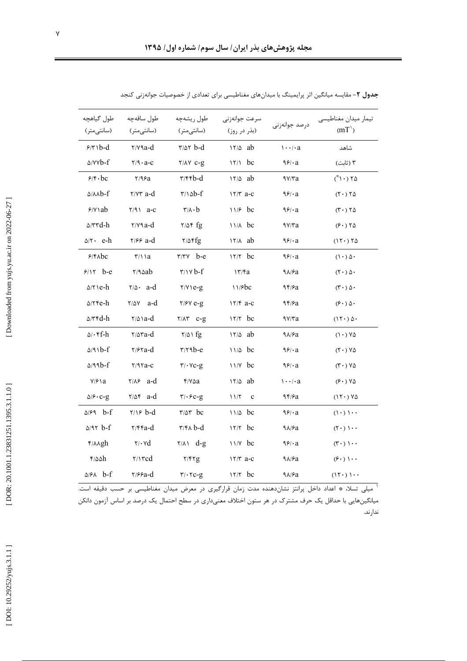| طول گیاهچه<br>(سانتىمتر)          | طول ساقەچە<br>(سانتى متر)             | طول ريشهچه<br>(سانتىمتر)                                    | سرعت جوانەزنى<br>(بذر در روز)             | درصد جوانەزنى        | تيمار ميدان مغناطيسي<br>(mT)        |
|-----------------------------------|---------------------------------------|-------------------------------------------------------------|-------------------------------------------|----------------------|-------------------------------------|
| $9/7$ \b-d                        | $\mathbf{y}$ / $\mathbf{y}$ a-d       | $r/a$ r $b-d$                                               | $17/\Delta$ ab                            | $\cdots$ / $\cdot$ a | شاهد                                |
| $\Delta$ /YY $b$ -f               | $Y/9 \cdot a - c$                     | $Y/AY$ $C-S$                                                | $17/1$ bc                                 | 99/4a                | ۳ (ثابت)                            |
| $9/8 \cdot bc$                    | Y/9.9a                                | $\mathbf{r}/\mathbf{r}\mathbf{r}$ b-d                       | $17/\Delta$ ab                            | 9Y/Ta                | $(1 \cdot) 70$                      |
| $0/\lambda\lambda b-f$            | $\gamma/\gamma\tau$ a-d               | $\mathbf{r}/\mathbf{d}$ b-f                                 | $17/T$ a-c                                | 99/4a                | $(T \cdot) T \Delta$                |
| $9/Y$ \ ab                        | $Y/91$ a-c                            | $r/\lambda \cdot b$                                         | $11/5$ bc                                 | 99/4a                | $(T \cdot) 70$                      |
| $\Delta$ /۳۳d-h                   | $\mathbf{y}$ / $\mathbf{y}$ a-d       | $Y/\Delta f$ fg                                             | $11/A$ bc                                 | 9Y/Ta                | (5.70)                              |
| $\Delta/\tau$ e-h                 | $\frac{7}{5}$ a-d                     | $Y/\Delta$ fg                                               | $17/A$ ab                                 | 99/4a                | $(11 \cdot) 70$                     |
| 9/8                               | $\frac{r}{1}$ a                       | $r/rv$ b-e                                                  | $17/7$ bc                                 | 99/4a                | $(1 \cdot)$ $\Delta$ .              |
| $9/17$ b-e                        | Y/9aab                                | $\frac{r}{v}$                                               | 17/Fa                                     | $9\lambda$ / $5a$    | $(T \cdot)$ $\Delta$ .              |
| $\Delta/\tau$ \e-h                | $\forall$ / $\triangle$ a-d           | $Y/Y$ \e-g                                                  | 11/6                                      | 95/2                 | $(\mathbf{r} \cdot)$ $\Delta \cdot$ |
| $\Delta$ /۲۴e-h                   | $\frac{1}{2}$ $\frac{1}{2}$           | $Y/Y$ e-g                                                   | $17/F$ a-c                                | 94/Sa                | $(5 \cdot)$ $\Delta$ .              |
| $\Delta/\tau$ ۴d-h                | $\frac{r}{\Delta}$ a-d                | $Y/\Lambda Y$ $C-S$                                         | $17/7$ bc                                 | 9Y/Ta                | $(11)$ $\Delta$ .                   |
| $\Delta/\cdot$ f-h                | $\frac{8}{2}$                         | $\frac{7}{4}$                                               | $17/\Delta$ ab                            | $9\lambda$ / $9a$    | $(1 \cdot) Y \Delta$                |
| $\Delta$ /91b-f                   | $\frac{7}{5}$ a-d                     | $r/r$ ۹ $b-e$                                               | $11/\Delta$ bc                            | 99/4a                | $(Y \cdot Y)$                       |
| $\triangle$ /99b-f                | $Y/9$ ra-c                            | $\mathbf{r}/\mathbf{v}$ c-g                                 | $11/Y$ bc                                 | 99/4a                | $(T \cdot) V \Delta$                |
| $Y/F \setminus a$                 | $Y/A$ a-d                             | $Y/V\Delta a$                                               | $17/\Delta$ ab                            | $\cdots$ / $\cdot$ a | $(5.7)$ YA                          |
| $\Delta$ / $\mathcal{S}$ · $C$ -g | $\frac{8}{4}$                         | $\mathbf{r}/\cdot\mathbf{c}$ -g                             | $\mathcal{N}/\mathcal{N}$<br>$\mathbf{c}$ | 95/9a                | $(11 \cdot) 90$                     |
| $\Delta$ / $\mathcal{F}$ ۹ b-f    | $\gamma \rightarrow b-d$              | $r/\Delta r$ bc                                             | $11/\Delta$ bc                            | 99/4a                | $(1 \cdot)$ $1 \cdot \cdot$         |
| $\Delta$ /97 $b$ -f               | $\mathsf{r}/\mathsf{r}\mathsf{r}$ a-d | $\mathsf{r}/\mathsf{r} \wedge \mathsf{b}\text{-}\mathsf{d}$ | $17/7$ bc                                 | $9\lambda$ / $9a$    | $(7 \cdot )$ ) $\cdot \cdot$        |
| $f/\lambda$ Agh                   | $\mathbf{y} \cdot \mathbf{v}$         | $\sqrt{(\lambda)}$ d-g                                      | $11/Y$ bc                                 | 99/4a                | $(\uparrow \cdot) \cdot \cdot$      |
| $f/\Delta\Delta h$                | $\gamma\rightarrow$ rcd               | Y/YZ                                                        | $17/T$ a-c                                | $9\lambda$ / $9a$    | $(\hat{z} \cdot)$ \ $\cdot \cdot$   |
| $\Delta$ />A b-f                  | $\frac{8}{2}$                         | $\mathbf{r}/\cdot\mathbf{r}$ c-g                            | $17/7$ bc                                 | $9\lambda$ / $5a$    | (15)                                |

جدول ۲- مقایسه میانگین اثر پرایمینگ با میدانهای مغناطیسی برای تعدادی از خصوصیات جوانهزنی کنجد

.<br>`` میلی تسلا، ۞ اعداد داخل پرانتز نشاندهنده مدت زمان قرارگیری در معرض میدان مغناطیسی بر حسب دقیقه است. میانگینهایی با حداقل یک حرف مشترک در هر ستون اختلاف معنیداری در سطح احتمال یک درصد بر اساس آزمون دانکن ندارند.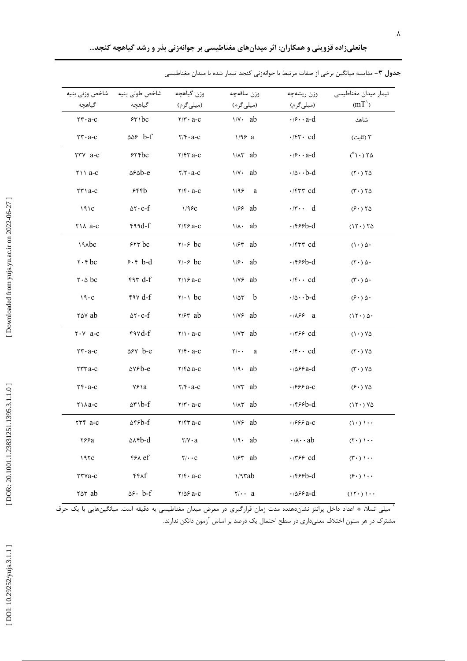| شاخص وزني بنيه                   | شاخص طولى بنيه                                | وزن گياهچه                                  | وزن ساقهچه                       | وزن ريشهچه                                  | تيمار ميدان مغناطيسي                   |
|----------------------------------|-----------------------------------------------|---------------------------------------------|----------------------------------|---------------------------------------------|----------------------------------------|
| گیاهچه                           | گیاهچه                                        | (میلیگرم)                                   | (میلیگرم)                        | (میلیگرم)                                   | (mT)                                   |
| $rr \cdot a-c$                   | 550c                                          | $Y/Y \cdot a-c$                             | $\frac{1}{v} \cdot ab$           | $\cdot$ / $\circ$ $\cdot$ a-d               | شاهد                                   |
| $rr \cdot a-c$                   | $\Delta S$ b-f                                | $Y/F \cdot a-C$                             | $1/96$ a                         | $\cdot$ /۴۳ $\cdot$ cd                      | ۳ (ثابت)                               |
| TTY a-c                          | 556c                                          | $Y/FY$ a-c                                  | $1/\lambda \tau$ ab              | $\cdot$ / $\circ$ $\cdot$ a-d               | $(* \cap \neg) \wedge \Diamond$        |
| $\uparrow \uparrow \uparrow$ a-c | $\triangle \epsilon \triangle b - e$          | $Y/Y \cdot a-C$                             | $\frac{1}{v} \cdot ab$           | $\cdot$ / $\circ \cdot \cdot$ b-d           | $(T \cdot) T \Delta$                   |
| $\tau\tau$ a-c                   | ۶۴۴b                                          | $Y/Y \cdot a-c$                             | 1/98<br>a                        | $\cdot$ $/$ ۴۳۳ cd                          | $(T \cdot) Y \Delta$                   |
| 191C                             | $\Delta \tau \cdot c-f$                       | 1/95c                                       | $1/89$ ab                        | $\cdot$ $\uparrow \cdots$ d                 | (5.70)                                 |
| $Y \land a-c$                    | $49d-f$                                       | $Y/Y$ $2-C$                                 | $1/\lambda$ ab                   | $\cdot$ /۴۶۶b-d                             | $(11 \cdot 76)$                        |
| <b>IAAbc</b>                     | 555                                           | $\forall$ i. $\epsilon$ bc                  | $1/5r$ ab                        | $\cdot$ /۴۳۳ cd                             | $(1 \cdot)$ $\Delta$ .                 |
| $\mathbf{r} \cdot \mathbf{r}$ bc | $5.5 b - d$                                   | $\forall$ i. $\epsilon$ bc                  | $1/9$ ab                         | $\cdot$ /۴۶۶b-d                             | $(T \cdot)$ $\Delta$ .                 |
| $\mathbf{r} \cdot \mathbf{r}$ bc | $FT d-f$                                      | $Y/19a-c$                                   | $\frac{1}{\sqrt{5}}$ ab          | $\cdot$ / $\mathfrak{f}$ $\cdot$ $\cdot$ cd | $(T \cdot)$ $\Delta$ .                 |
| $19 \cdot C$                     | $f \circ f$                                   | $\forall$ $\cdot \land$ bc                  | $1/\Delta \tau$<br>b             | $\cdot$ / $\circ \cdot \cdot$ b-d           | $(\hat{z} \cdot)$ $\hat{\omega} \cdot$ |
| rav ab                           | $\Delta \tau \cdot c-f$                       | $\frac{7}{5}$ ab                            | $1/\gamma$ ab                    | $\cdot$ / $\lambda$ ۶۶ a                    | $(15.2)$ $\Delta$ .                    |
| $Y \cdot Y$ a-c                  | rivd-f                                        | $Y/\lambda \cdot a-c$                       | $1/5$ ab                         | $\cdot$ /٣۶۶ cd                             | $(1 \cdot) Y \Delta$                   |
| $rr \cdot a-c$                   | $\Delta$ ۶ $\vee$ b-e                         | $\mathbf{Y}/\mathbf{f} \cdot \mathbf{a}$ -c | $\mathbf{Y}/\bullet\bullet$<br>a | $\cdot$ /۴ $\cdot$ cd                       | $(Y \cdot Y)$                          |
| $rrra-c$                         | $\Delta V$ ۶ $b$ -e                           | $Y/F\Delta$ a-c                             | $1/9 \cdot ab$                   | $\cdot$ / $\Delta$ ۶۶a-d                    | $(T \cdot Y \Delta)$                   |
| $\mathbf{r} \cdot \mathbf{a}$ -c | $Y^{\epsilon}$                                | $Y/F \cdot a-C$                             | $1/\gamma r$ ab                  | $\cdot$ /999 a-c                            | (5.8) V                                |
| $\forall$ \ $\land$ a-c          | $\Delta r$ $\Delta r$                         | $\mathbf{r}/\mathbf{r} \cdot \mathbf{a}$ -c | $1/\lambda \tau$ ab              | $\cdot$ /۴۶۶b-d                             | $(11 \cdot) 90$                        |
| $\tau \tau \tau$ a-c             | $\Delta$ ۴۶ $b$ -f                            | $Y/FY$ a-c                                  | $1/\gamma$ ab                    | $\cdot$ /999 a-c                            | $(1 \cdot)$ $1 \cdot \cdot$            |
| ۲۶۶a                             | $\Delta x$ rb-d                               | $Y/Y \cdot a$                               | $1/9 \cdot ab$                   | $\cdot/\lambda \cdot ab$                    | $(7 \cdot) \cdot \cdot$                |
| 197c                             | ۴۶۸ ef                                        | $\mathbf{Y}/\cdot\cdot\mathbf{C}$           | $1/5r$ ab                        | $\cdot$ /٣۶۶ cd                             | $(T \cdot ) \cdot \cdot$               |
| TTVa-c                           | $f f \wedge f$                                | $\mathbf{Y}/\mathbf{f} \cdot \mathbf{a}$ -c | $1/9$ rab                        | $\cdot$ /۴۶۶b-d                             | $(\hat{z} \cdot)$ \ $\cdot \cdot$      |
| rar ab                           | $\Delta \mathbf{\hat{y}} \cdot \mathbf{b}$ -f | $Y/\Delta P$ a-c                            | $\mathbf{y}/\mathbf{y}$ a        | $\cdot$ / $\Delta$ ۶۶a-d                    | $(11 \cdot)$ $1 \cdot \cdot$           |

جدول ۳- مقایسه میانگین برخی از صفات مرتبط با جوانهزنی کنجد تیمار شده با میدان مغناطیسی

.<br>^ میلی تسلا، ٭ اعداد داخل پرانتز نشاندهنده مدت زمان قرارگیری در معرض میدان مغناطیسی به دقیقه است. میانگینهایی با یک حرف مشترک در هر ستون اختلاف معنیداری در سطح احتمال یک درصد بر اساس آزمون دانکن ندارند.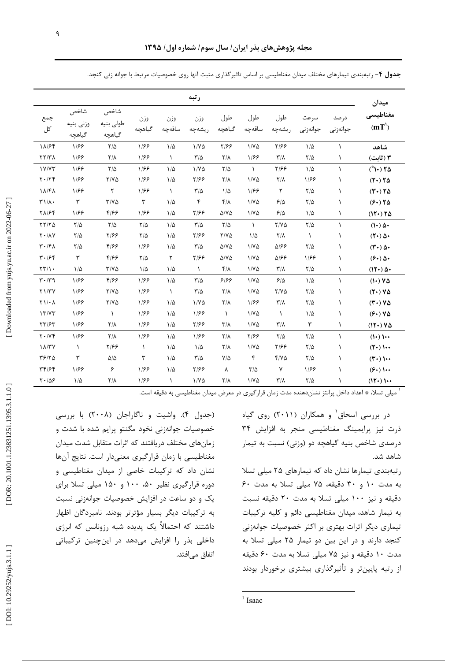|                                            |                             |                             |                      |               | رتبه                    |                           |               |                           |                  |                  | ميدان                    |
|--------------------------------------------|-----------------------------|-----------------------------|----------------------|---------------|-------------------------|---------------------------|---------------|---------------------------|------------------|------------------|--------------------------|
| جمع<br>کل                                  | شاخص<br>وزنى بنيه<br>گیاهچه | شاخص<br>طولى بنيه<br>گیاهچه | وزن<br>گیاهچه        | وزن<br>ساقەچە | وزن<br>ريشەچە           | طول<br>گیاهچه             | طول<br>ساقەچە | طول<br>ريشەچە             | سرعت<br>جوانەزنى | درصد<br>جوانەزنى | مغناطيسى<br>(mT)         |
| 18/64                                      | 1/88                        | $\frac{1}{2}$               | 1/88                 | $1/\Delta$    | $1/Y\Delta$             | 7/99                      | $1/Y\Delta$   | 5/99                      | $1/\Delta$       | $\lambda$        | شاهد                     |
| $\tau\tau/\tau\lambda$                     | 1199                        | $Y/\lambda$                 | 1/88                 | $\lambda$     | $\frac{1}{2}$           | $Y/\lambda$               | 1/88          | $\mathcal{N}/\mathcal{N}$ | $Y/\Delta$       | $\lambda$        | ۲ (ثابت)                 |
| 1Y/YY                                      | 1/88                        | $\frac{1}{2}$               | 1/88                 | $1/\Delta$    | $1/Y\Delta$             | $\frac{1}{2}$             | $\lambda$     | 7/99                      | $1/\Delta$       | $\lambda$        | $(* \rightarrow )$ TA    |
| $Y \cdot / Y$                              | 1/۶۶                        | $Y/Y\Delta$                 | 1/۶۶                 | $1/\Delta$    | ۲۱۶۶                    | $\mathsf{Y}/\mathsf{Y}$   | $1/Y\Delta$   | $Y/\lambda$               | 1/۶۶             | $\lambda$        | $(T1)$ $\uparrow \Delta$ |
| 18/41                                      | 1/۶۶                        | $\mathsf{r}$                | 1/66                 | $\lambda$     | $\frac{1}{2}$           | $1/\Delta$                | 1/88          | $\mathsf{r}$              | $Y/\Delta$       | J.               | $(T \cdot) T \Delta$     |
| $T1/\Lambda$ .                             | $\mathbf{r}$                | $Y/Y\Delta$                 | $\mathbf{\breve{r}}$ | $1/\Delta$    | ۴                       | $f/\lambda$               | $1/Y\Delta$   | 5/2                       | $\frac{8}{4}$    | ١                | (5.78)                   |
| 71/۶۴                                      | 1/۶۶                        | ۴۱۶۶                        | 1/88                 | $1/\Delta$    | 7/88                    | $\Delta$ /Y $\Delta$      | $1/Y\Delta$   | 5/2                       | $1/\Delta$       | $\lambda$        | (11) 70                  |
| YY/Y                                       | $\frac{1}{2}$               | $\frac{1}{2}$               | $\frac{1}{2}$        | $1/\Delta$    | $\frac{1}{2}$           | $\frac{1}{2}$             | $\lambda$     | $Y/Y\Delta$               | $\frac{1}{2}$    | $\lambda$        | $(1)$ $\Delta$           |
| $\mathsf{Y} \cdot / \mathsf{A} \mathsf{Y}$ | $Y/\Delta$                  | 7/99                        | $\frac{1}{2}$        | $1/\Delta$    | 7/99                    | $Y/Y\Delta$               | $1/\Delta$    | $Y/\lambda$               | $\lambda$        | ١                | $(T\cdot)\Delta\cdot$    |
| $\mathbf{r} \cdot \mathbf{r}$              | $\frac{1}{2}$               | ۴۱۶۶                        | 1/66                 | $1/\Delta$    | $\frac{1}{2}$           | $\Delta$ /Y $\Delta$      | $1/Y\Delta$   | 9310                      | $Y/\Delta$       | ١                | $(T\cdot)\Delta\cdot$    |
| $T \cdot 194$                              | ٣                           | 4/99                        | $\frac{1}{2}$        | ٢             | Y/99                    | $\Delta$ /Y $\Delta$      | $1/Y\Delta$   | 9310                      | 1188             | ١                | $(5.8)$ $\Delta$         |
| $\tau\tau/\gamma$ .                        | $1/\Delta$                  | $Y/Y\Delta$                 | $1/\Delta$           | $1/\Delta$    | $\lambda$               | $f/\lambda$               | 1/80          | $\mathsf{r}/\mathsf{v}$   | $\frac{8}{4}$    | $\lambda$        | $(11)$ $\Delta$          |
| $\mathbf{r} \cdot \mathbf{r}$              | 1199                        | 4188                        | 1/88                 | $1/\Delta$    | $\mathbf{r}/\mathbf{r}$ | ۶۱۶۶                      | $1/Y\Delta$   | 9/2                       | $1/\Delta$       | $\lambda$        | $(1) V \Delta$           |
| Y1/TY                                      | 1/۶۶                        | $Y/Y\Delta$                 | 1/66                 | $\lambda$     | $\tau/\Delta$           | $Y/\lambda$               | $1/Y\Delta$   | $Y/Y\Delta$               | $Y/\Delta$       | ١                | $(Y \cdot) V \Delta$     |
| $Y \setminus / \cdot \Lambda$              | 1188                        | $Y/Y\Delta$                 | 1188                 | $1/\Delta$    | $1/V\Delta$             | $Y/\lambda$               | 1/88          | $\mathsf{r}/\mathsf{v}$   | $Y/\Delta$       | $\lambda$        | $(T1)V0$                 |
| 17/YT                                      | 1/۶۶                        | $\lambda$                   | 1/۶۶                 | $1/\Delta$    | 1/88                    | $\lambda$                 | $1/N\Delta$   | $\lambda$                 | $1/\Delta$       | ١                | (5.8) V                  |
| $\tau\tau$ /۶۳                             | 1/۶۶                        | $Y/\lambda$                 | 1/88                 | $1/\Delta$    | Y/99                    | $\mathcal{L}/\mathcal{N}$ | $1/Y\Delta$   | $\mathsf{r}/\mathsf{v}$   | ٣                | $\lambda$        | $(11) Y \Delta$          |
| $Y \cdot / Y$                              | 1/۶۶                        | $Y/\lambda$                 | 1/66                 | $1/\Delta$    | 1/88                    | $Y/\lambda$               | 7/99          | $\frac{1}{2}$             | $\frac{1}{2}$    | $\lambda$        | $(1)$ ) $\cdots$         |
| $1\lambda$ /٣٧                             | $\lambda$                   | 7/99                        | $\lambda$            | $1/\Delta$    | $1/\Delta$              | $\mathsf{Y}/\mathsf{Y}$   | 1/80          | ۲/۶۶                      | $Y/\Delta$       | ١                | $(T\cdot)$ ) $\cdots$    |
| T5/70                                      | ٣                           | $\Delta/\Delta$             | ٣                    | $1/\Delta$    | $\frac{1}{2}$           | $V/\Delta$                | ۴             | $Y/Y$ $\Delta$            | $\frac{1}{2}$    | $\lambda$        | $(T\cdot)$ ) $\cdots$    |
| 39/94                                      | 1/۶۶                        | ۶                           | 1/66                 | $1/\Delta$    | ۲۱۶۶                    | λ                         | $\tau/\Delta$ | γ                         | 1166             | ١                | $(5\cdot)$ )             |
| $Y \cdot \Delta S$                         | $1/\Delta$                  | $Y/\lambda$                 | 1/66                 | A.            | $1/Y\Delta$             | $Y/\lambda$               | $1/Y\Delta$   | $\mathbf{r}/\mathbf{v}$   | $Y/\Delta$       | J.               | $(11 \cdot)$ 1           |

جدول ۴- رتبهبندی تیمارهای مختلف میدان مغناطیسی بر اساس تاثیرگذاری مثبت آنها روی خصوصیات مرتبط با جوانه زنی کنجد.

<sup>۱</sup> میلی تسلا، ٭ اعداد داخل پرانتز نشاندهنده مدت زمان قرارگیری در معرض میدان مغناطیسی به دقیقه است.

در بررسی اسحاق و همکاران (۲۰۱۱) روی گیاه ذرت نیز پرایمینگ مغناطیسی منجر به افزایش ۳۴ درصدی شاخص بنیه گیاهچه دو (وزنی) نسبت به تیمار شاهد شد.

رتبهبندی تیمارها نشان داد که تیمارهای ۲۵ میلی تسلا به مدت ١٠ و ٣٠ دقيقه، ٧۵ ميلي تسلا به مدت ٤٠ دقیقه و نیز ۱۰۰ میلی تسلا به مدت ۲۰ دقیقه نسبت به تیمار شاهد، میدان مغناطیسی دائم و کلیه ترکیبات تیماری دیگر اثرات بهتری بر اکثر خصوصیات جوانهزنی کنجد دارند و در این بین دو تیمار ۲۵ میلی تسلا به مدت ١٠ دقيقه و نيز ٧۵ ميلي تسلا به مدت ۶٠ دقيقه از رتبه پایینتر و تأثیرگذاری بیشتری برخوردار بودند

(جدول ۴). واشیت و ناگاراجان (۲۰۰۸) با بررسی خصوصیات جوانهزنی نخود مگنتو پرایم شده با شدت و زمانهای مختلف دریافتند که اثرات متقابل شدت میدان مغناطیسی با زمان قرارگیری معنیدار است. نتایج آنها نشان داد که ترکیبات خاصی از میدان مغناطیسی و دوره قرارگیری نظیر ۵۰، ۱۰۰ و ۱۵۰ میلی تسلا برای یک و دو ساعت در افزایش خصوصیات جوانهزنی نسبت به ترکیبات دیگر بسیار مؤثرتر بودند. نامبردگان اظهار داشتند که احتمالاً یک پدیده شبه رزونانس که انرژی داخلی بذر را افزایش میدهد در اینچنین ترکیباتی اتفاق می|فتد.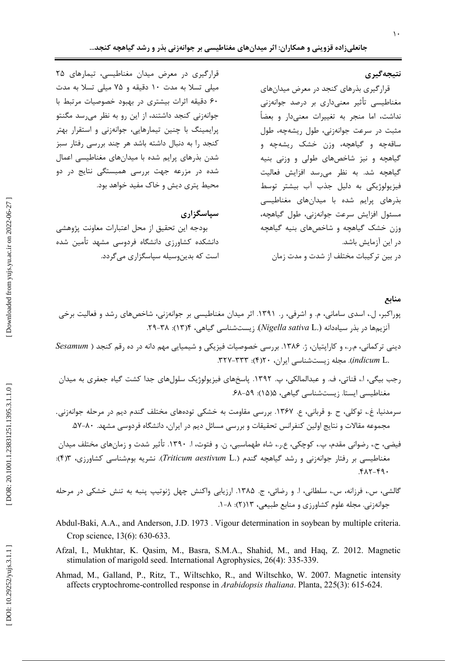## نتيجەگيرى

قرارگیری بذرهای کنجد در معرض میدانهای مغناطیسی تأثیر معنیداری بر درصد جوانهزنی نداشت، اما منجر به تغییرات معنیدار و بعضاً مثبت در سرعت جوانهزنی، طول ریشهچه، طول ساقهچه و گیاهچه، وزن خشک ریشهچه و گیاهچه و نیز شاخصهای طولی و وزنی بنیه گیاهچه شد. به نظر میرسد افزایش فعالیت فيزيولوژيکي به دليل جذب آب بيشتر توسط بذرهای پرایم شده با میدانهای مغناطیسی مسئول افزايش سرعت جوانهزني، طول گياهچه، وزن خشک گیاهچه و شاخصهای بنیه گیاه<u>چ</u>ه در این آزمایش باشد. در بین ترکیبات مختلف از شدت و مدت زمان

قرارگیری در معرض میدان مغناطیسی، تیمارهای ۲۵ میلی تسلا به مدت ١٠ دقیقه و ٧۵ میلی تسلا به مدت ۶۰ دقیقه اثرات بیشتری در بهبود خصوصیات مرتبط با جوانهزنی کنجد داشتند، از این رو به نظر میرسد مگنتو پرایمینگ با چنین تیمارهایی، جوانهزنی و استقرار بهتر کنجد را به دنبال داشته باشد هر چند بررسی رفتار سبز شدن بذرهای پرایم شده با میدانهای مغناطیسی اعمال شده در مزرعه جهت بررسی همبستگی نتایج در دو محیط پتری دیش و خاک مفید خواهد بود.

#### سیاسگزاری

بودجه این تحقیق از محل اعتبارات معاونت پژوهشی دانشکده کشاورزی دانشگاه فردوسی مشهد تأمین شده است که بدینوسیله سیاسگزاری می گردد.

#### منابع

- پوراکبر، ل.، اسدی سامانی، م. و اشرفی، ر. ۱۳۹۱. اثر میدان مغناطیسی بر جوانهزنی، شاخصهای رشد و فعالیت برخی آنزیمها در بذر سیاهدانه (.Nigella sativa L). زیستشناسی گیاهی، ۲۴–۲۹.
- دینی ترکمانی، م.ر.، و کارایتیان، ژ. ۱۳۸۶. بررسی خصوصیات فیزیکی و شیمیایی مهم دانه در ده رقم کنجد ( Sesamum .indicum L. مجله زیستشناسی ایران، ۳۲۰-۳۲۷.
- رجب بيگي، ا.، قناتي، ف. و عبدالمالكي، پ. ١٣٩٢. پاسخهاي فيزيولوژيک سلولهاي جدا كشت گياه جعفري به ميدان مغناطیسی ایستا. زیستشناسی گیاهی، ۵(۱۵): ۵۹-۶۸.
- سرمدنیا، غ.، توکلی، ح .و قربانی، ع. ۱۳۶۷. بررسی مقاومت به خشکی تودههای مختلف گندم دیم در مرحله جوانهزنی. مجموعه مقالات و نتایج اولین کنفرانس تحقیقات و بررسی مسائل دیم در ایران، دانشگاه فردوسی مشهد. ۸۰-۵۷.
- فیضی، ح.، رضوانی مقدم، پ.، کوچکی، ع.ر.، شاه طهماسبی، ن. و فتوت، ا. ١٣٩٠. تأثیر شدت و زمانهای مختلف میدان مغناطیسی بر رفتار جوانهزنی و رشد گیاهچه گندم (.Triticum aestivum L). نشریه بومشناسی کشاورزی، ۴٫۳):  $YAY-F9.$
- گالشي، س.، فرزانه، س.، سلطاني، ا. و رضائي، ج. ۱۳۸۵. ارزيابي واكنش چهل ژنوتيپ پنبه به تنش خشكي در مرحله جوانهزنی. مجله علوم کشاورزی و منابع طبیعی، ۱۳(۲): ۸–۱.
- Abdul-Baki, A.A., and Anderson, J.D. 1973. Vigour determination in soybean by multiple criteria. Crop science, 13(6): 630-633.
- Afzal, I., Mukhtar, K. Qasim, M., Basra, S.M.A., Shahid, M., and Haq, Z. 2012. Magnetic stimulation of marigold seed. International Agrophysics, 26(4): 335-339.
- Ahmad, M., Galland, P., Ritz, T., Wiltschko, R., and Wiltschko, W. 2007. Magnetic intensity affects cryptochrome-controlled response in *Arabidopsis thaliana*. Planta, 225(3): 615-624.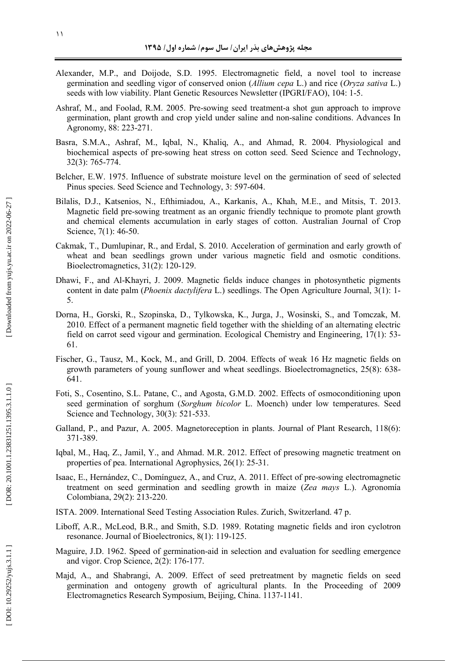- Alexander, M.P., and Doijode, S.D. 1995. Electromagnetic field, a novel tool to increase germination and seedling vigor of conserved onion (*Allium cepa* L.) and rice (*Oryza sativa* L.) seeds with low viability. Plant Genetic Resources Newsletter (IPGRI/FAO), 104: 1-5.
- Ashraf, M., and Foolad, R.M. 2005. Pre-sowing seed treatment-a shot gun approach to improve germination, plant growth and crop yield under saline and non-saline conditions. Advances In Agronomy, 88: 223-271.
- Basra, S.M.A., Ashraf, M., Iqbal, N., Khaliq, A., and Ahmad, R. 2004. Physiological and biochemical aspects of pre-sowing heat stress on cotton seed. Seed Science and Technology, 32(3): 765-774.
- Belcher, E.W. 1975. Influence of substrate moisture level on the germination of seed of selected Pinus species. Seed Science and Technology, 3: 597-604.
- Bilalis, D.J., Katsenios, N., Efthimiadou, A., Karkanis, A., Khah, M.E., and Mitsis, T. 2013. Magnetic field pre-sowing treatment as an organic friendly technique to promote plant growth and chemical elements accumulation in early stages of cotton. Australian Journal of Crop Science, 7(1): 46-50.
- Cakmak, T., Dumlupinar, R., and Erdal, S. 2010. Acceleration of germination and early growth of wheat and bean seedlings grown under various magnetic field and osmotic conditions. Bioelectromagnetics, 31(2): 120-129.
- Dhawi, F., and Al-Khayri, J. 2009. Magnetic fields induce changes in photosynthetic pigments content in date palm (*Phoenix dactylifera* L.) seedlings. The Open Agriculture Journal, 3(1): 1- 5.
- Dorna, H., Gorski, R., Szopinska, D., Tylkowska, K., Jurga, J., Wosinski, S., and Tomczak, M. 2010. Effect of a permanent magnetic field together with the shielding of an alternating electric field on carrot seed vigour and germination. Ecological Chemistry and Engineering, 17(1): 53- 61.
- Fischer, G., Tausz, M., Kock, M., and Grill, D. 2004. Effects of weak 16 Hz magnetic fields on growth parameters of young sunflower and wheat seedlings. Bioelectromagnetics, 25(8): 638- 641.
- Foti, S., Cosentino, S.L. Patane, C., and Agosta, G.M.D. 2002. Effects of osmoconditioning upon seed germination of sorghum (*Sorghum bicolor* L. Moench) under low temperatures. Seed Science and Technology, 30(3): 521-533.
- Galland, P., and Pazur, A. 2005. Magnetoreception in plants. Journal of Plant Research, 118(6): 371-389.
- Iqbal, M., Haq, Z., Jamil, Y., and Ahmad. M.R. 2012. Effect of presowing magnetic treatment on properties of pea. International Agrophysics, 26(1): 25-31.
- Isaac, E., Hernández, C., Domínguez, A., and Cruz, A. 2011. Effect of pre-sowing electromagnetic treatment on seed germination and seedling growth in maize (*Zea mays* L.). Agronomía Colombiana, 29(2): 213-220.
- ISTA. 2009. International Seed Testing Association Rules. Zurich, Switzerland. 47 p.
- Liboff, A.R., McLeod, B.R., and Smith, S.D. 1989. Rotating magnetic fields and iron cyclotron resonance. Journal of Bioelectronics, 8(1): 119-125.
- Maguire, J.D. 1962. Speed of germination-aid in selection and evaluation for seedling emergence and vigor. Crop Science, 2(2): 176-177.
- Majd, A., and Shabrangi, A. 2009. Effect of seed pretreatment by magnetic fields on seed germination and ontogeny growth of agricultural plants. In the Proceeding of 2009 Electromagnetics Research Symposium, Beijing, China. 1137-1141.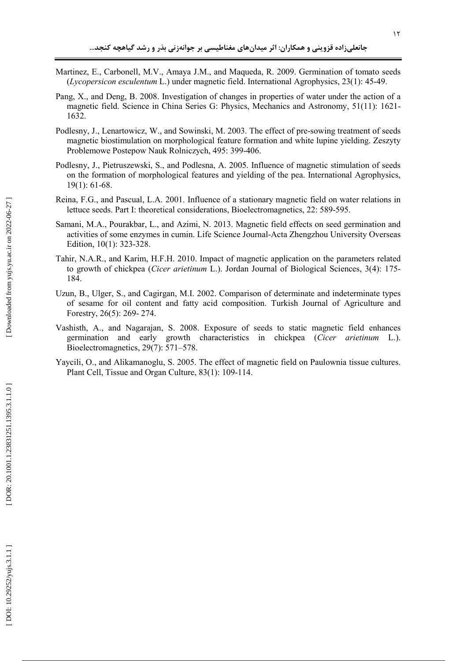- Martinez, E., Carbonell, M.V., Amaya J.M., and Maqueda, R. 2009. Germination of tomato seeds (*Lycopersicon esculentum* L.) under magnetic field. International Agrophysics, 23(1): 45-49.
- Pang, X., and Deng, B. 2008. Investigation of changes in properties of water under the action of a magnetic field. Science in China Series G: Physics, Mechanics and Astronomy, 51(11): 1621- 1632.
- Podlesny, J., Lenartowicz, W., and Sowinski, M. 2003. The effect of pre-sowing treatment of seeds magnetic biostimulation on morphological feature formation and white lupine yielding. Zeszyty Problemowe Postepow Nauk Rolniczych, 495: 399-406.
- Podlesny, J., Pietruszewski, S., and Podlesna, A. 2005. Influence of magnetic stimulation of seeds on the formation of morphological features and yielding of the pea. International Agrophysics, 19(1): 61-68.
- Reina, F.G., and Pascual, L.A. 2001. Influence of a stationary magnetic field on water relations in lettuce seeds. Part I: theoretical considerations, Bioelectromagnetics, 22: 589-595.
- Samani, M.A., Pourakbar, L., and Azimi, N. 2013. Magnetic field effects on seed germination and activities of some enzymes in cumin. Life Science Journal-Acta Zhengzhou University Overseas Edition, 10(1): 323-328.
- Tahir, N.A.R., and Karim, H.F.H. 2010. Impact of magnetic application on the parameters related to growth of chickpea (*Cicer arietinum* L.). Jordan Journal of Biological Sciences, 3(4): 175- 184.
- Uzun, B., Ulger, S., and Cagirgan, M.I. 2002. Comparison of determinate and indeterminate types of sesame for oil content and fatty acid composition. Turkish Journal of Agriculture and Forestry, 26(5): 269- 274.
- Vashisth, A., and Nagarajan, S. 2008. Exposure of seeds to static magnetic field enhances germination and early growth characteristics in chickpea (*Cicer arietinum* L.). Bioelectromagnetics, 29(7): 571–578.
- Yaycili, O., and Alikamanoglu, S. 2005. The effect of magnetic field on Paulownia tissue cultures. Plant Cell, Tissue and Organ Culture, 83(1): 109-114.